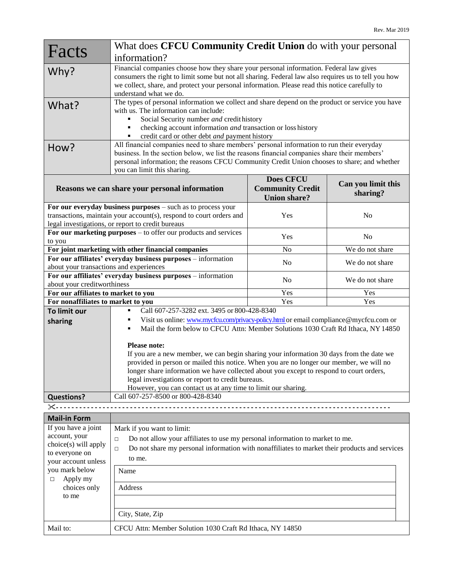| Facts                                                                                       | What does CFCU Community Credit Union do with your personal                                                                                                                                           |                         |                    |  |
|---------------------------------------------------------------------------------------------|-------------------------------------------------------------------------------------------------------------------------------------------------------------------------------------------------------|-------------------------|--------------------|--|
|                                                                                             | information?                                                                                                                                                                                          |                         |                    |  |
| Why?                                                                                        | Financial companies choose how they share your personal information. Federal law gives                                                                                                                |                         |                    |  |
|                                                                                             | consumers the right to limit some but not all sharing. Federal law also requires us to tell you how<br>we collect, share, and protect your personal information. Please read this notice carefully to |                         |                    |  |
|                                                                                             | understand what we do.                                                                                                                                                                                |                         |                    |  |
|                                                                                             | The types of personal information we collect and share depend on the product or service you have                                                                                                      |                         |                    |  |
| What?                                                                                       | with us. The information can include:                                                                                                                                                                 |                         |                    |  |
|                                                                                             | Social Security number and credit history<br>п                                                                                                                                                        |                         |                    |  |
|                                                                                             | checking account information and transaction or loss history<br>٠                                                                                                                                     |                         |                    |  |
|                                                                                             | credit card or other debt and payment history                                                                                                                                                         |                         |                    |  |
| How?                                                                                        | All financial companies need to share members' personal information to run their everyday                                                                                                             |                         |                    |  |
|                                                                                             | business. In the section below, we list the reasons financial companies share their members'                                                                                                          |                         |                    |  |
|                                                                                             | personal information; the reasons CFCU Community Credit Union chooses to share; and whether                                                                                                           |                         |                    |  |
|                                                                                             | you can limit this sharing.                                                                                                                                                                           |                         |                    |  |
|                                                                                             |                                                                                                                                                                                                       | <b>Does CFCU</b>        | Can you limit this |  |
|                                                                                             | Reasons we can share your personal information                                                                                                                                                        | <b>Community Credit</b> | sharing?           |  |
|                                                                                             |                                                                                                                                                                                                       | <b>Union share?</b>     |                    |  |
|                                                                                             | For our everyday business purposes - such as to process your<br>transactions, maintain your account(s), respond to court orders and                                                                   |                         | N <sub>o</sub>     |  |
| legal investigations, or report to credit bureaus                                           |                                                                                                                                                                                                       | Yes                     |                    |  |
|                                                                                             | For our marketing purposes $-$ to offer our products and services                                                                                                                                     |                         |                    |  |
| to you                                                                                      |                                                                                                                                                                                                       | Yes                     | N <sub>o</sub>     |  |
| For joint marketing with other financial companies                                          |                                                                                                                                                                                                       | N <sub>o</sub>          | We do not share    |  |
| For our affiliates' everyday business purposes - information                                |                                                                                                                                                                                                       | N <sub>o</sub>          | We do not share    |  |
| about your transactions and experiences                                                     |                                                                                                                                                                                                       |                         |                    |  |
| For our affiliates' everyday business purposes - information<br>about your creditworthiness |                                                                                                                                                                                                       | N <sub>o</sub>          | We do not share    |  |
| For our affiliates to market to you                                                         |                                                                                                                                                                                                       | Yes                     | Yes                |  |
| For nonaffiliates to market to you                                                          |                                                                                                                                                                                                       | Yes                     | Yes                |  |
| To limit our                                                                                | Call 607-257-3282 ext. 3495 or 800-428-8340<br>п                                                                                                                                                      |                         |                    |  |
| sharing                                                                                     | Visit us online: www.mycfcu.com/privacy-policy.html or email compliance@mycfcu.com or<br>٠                                                                                                            |                         |                    |  |
|                                                                                             | Mail the form below to CFCU Attn: Member Solutions 1030 Craft Rd Ithaca, NY 14850                                                                                                                     |                         |                    |  |
|                                                                                             |                                                                                                                                                                                                       |                         |                    |  |
|                                                                                             | <b>Please note:</b>                                                                                                                                                                                   |                         |                    |  |
|                                                                                             | If you are a new member, we can begin sharing your information 30 days from the date we                                                                                                               |                         |                    |  |
|                                                                                             | provided in person or mailed this notice. When you are no longer our member, we will no                                                                                                               |                         |                    |  |
|                                                                                             | longer share information we have collected about you except to respond to court orders,                                                                                                               |                         |                    |  |
|                                                                                             | legal investigations or report to credit bureaus.<br>However, you can contact us at any time to limit our sharing.                                                                                    |                         |                    |  |
| <b>Questions?</b>                                                                           | Call 607-257-8500 or 800-428-8340                                                                                                                                                                     |                         |                    |  |
| ×-----                                                                                      |                                                                                                                                                                                                       |                         |                    |  |
| <b>Mail-in Form</b>                                                                         |                                                                                                                                                                                                       |                         |                    |  |
| If you have a joint                                                                         | Mark if you want to limit:                                                                                                                                                                            |                         |                    |  |
| account, your                                                                               | Do not allow your affiliates to use my personal information to market to me.<br>$\Box$                                                                                                                |                         |                    |  |
| choice(s) will apply                                                                        | Do not share my personal information with nonaffiliates to market their products and services                                                                                                         |                         |                    |  |
| to everyone on                                                                              | $\Box$                                                                                                                                                                                                |                         |                    |  |
| your account unless                                                                         | to me.                                                                                                                                                                                                |                         |                    |  |
| you mark below                                                                              | Name                                                                                                                                                                                                  |                         |                    |  |
| Apply my<br>$\Box$                                                                          |                                                                                                                                                                                                       |                         |                    |  |

| 11 J J<br>choices only<br>to me | Address                                                   |  |
|---------------------------------|-----------------------------------------------------------|--|
|                                 | City, State, Zip                                          |  |
| Mail to:                        | CFCU Attn: Member Solution 1030 Craft Rd Ithaca, NY 14850 |  |